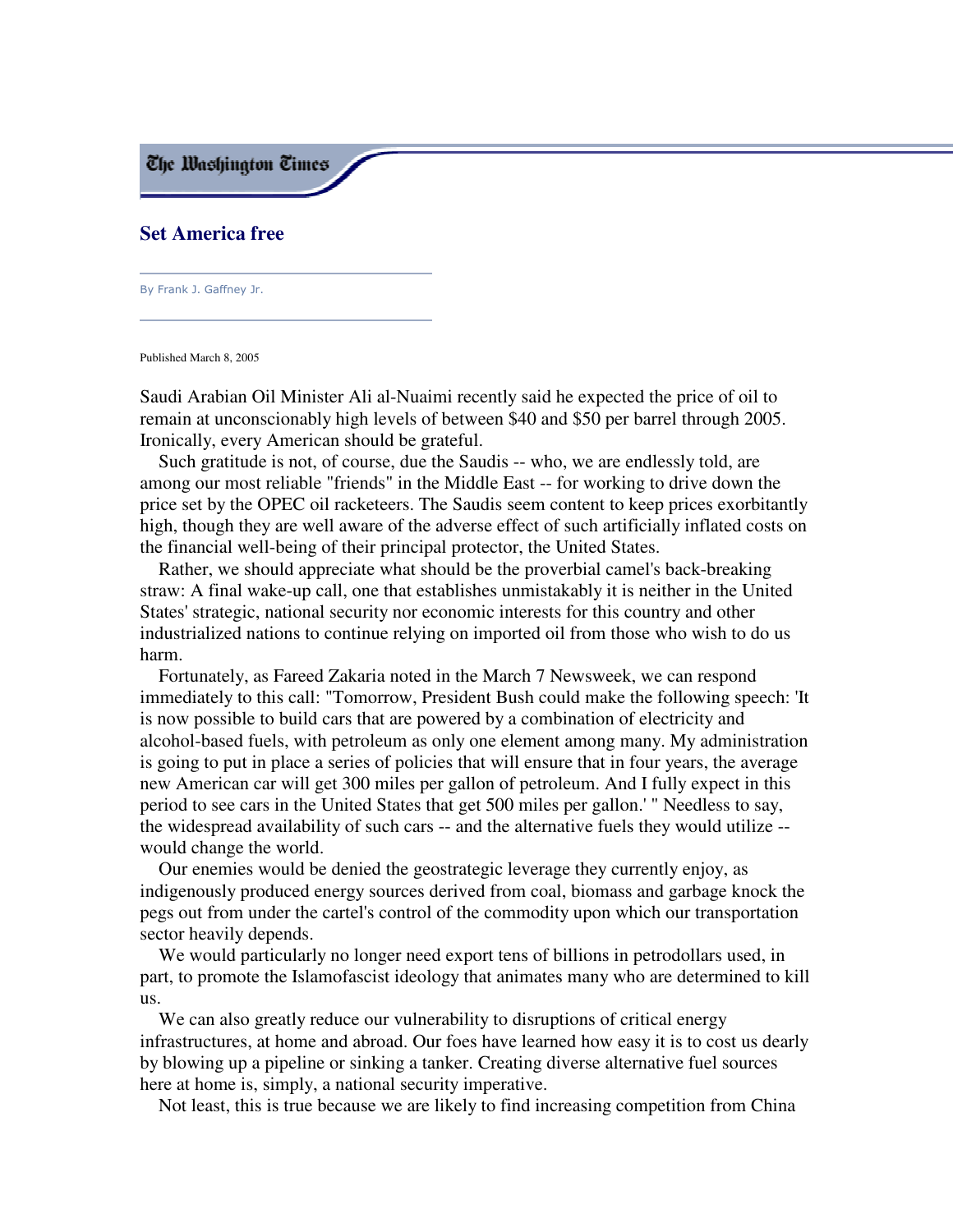The Washington Times

## **Set America free**

By Frank J. Gaffney Jr.

Published March 8, 2005

Saudi Arabian Oil Minister Ali al-Nuaimi recently said he expected the price of oil to remain at unconscionably high levels of between \$40 and \$50 per barrel through 2005. Ironically, every American should be grateful.

Such gratitude is not, of course, due the Saudis -- who, we are endlessly told, are among our most reliable "friends" in the Middle East -- for working to drive down the price set by the OPEC oil racketeers. The Saudis seem content to keep prices exorbitantly high, though they are well aware of the adverse effect of such artificially inflated costs on the financial well-being of their principal protector, the United States.

Rather, we should appreciate what should be the proverbial camel's back-breaking straw: A final wake-up call, one that establishes unmistakably it is neither in the United States' strategic, national security nor economic interests for this country and other industrialized nations to continue relying on imported oil from those who wish to do us harm.

Fortunately, as Fareed Zakaria noted in the March 7 Newsweek, we can respond immediately to this call: "Tomorrow, President Bush could make the following speech: 'It is now possible to build cars that are powered by a combination of electricity and alcohol-based fuels, with petroleum as only one element among many. My administration is going to put in place a series of policies that will ensure that in four years, the average new American car will get 300 miles per gallon of petroleum. And I fully expect in this period to see cars in the United States that get 500 miles per gallon.' " Needless to say, the widespread availability of such cars -- and the alternative fuels they would utilize - would change the world.

Our enemies would be denied the geostrategic leverage they currently enjoy, as indigenously produced energy sources derived from coal, biomass and garbage knock the pegs out from under the cartel's control of the commodity upon which our transportation sector heavily depends.

We would particularly no longer need export tens of billions in petrodollars used, in part, to promote the Islamofascist ideology that animates many who are determined to kill us.

We can also greatly reduce our vulnerability to disruptions of critical energy infrastructures, at home and abroad. Our foes have learned how easy it is to cost us dearly by blowing up a pipeline or sinking a tanker. Creating diverse alternative fuel sources here at home is, simply, a national security imperative.

Not least, this is true because we are likely to find increasing competition from China